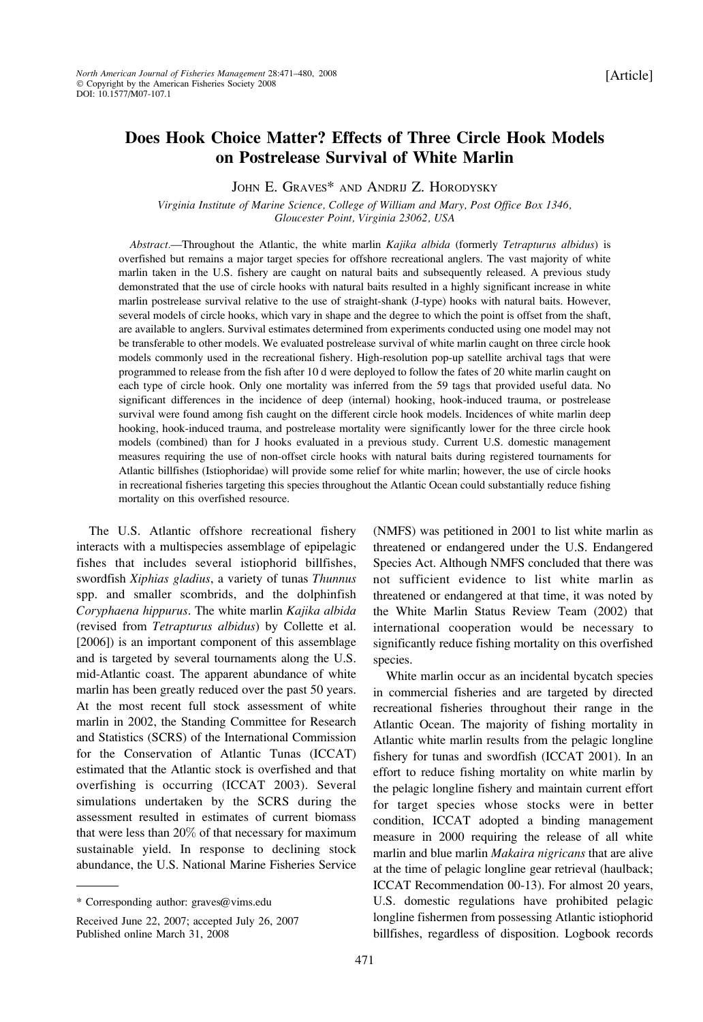# Does Hook Choice Matter? Effects of Three Circle Hook Models on Postrelease Survival of White Marlin

JOHN E. GRAVES<sup>\*</sup> AND ANDRIJ Z. HORODYSKY

Virginia Institute of Marine Science, College of William and Mary, Post Office Box 1346, Gloucester Point, Virginia 23062, USA

Abstract.—Throughout the Atlantic, the white marlin Kajika albida (formerly Tetrapturus albidus) is overfished but remains a major target species for offshore recreational anglers. The vast majority of white marlin taken in the U.S. fishery are caught on natural baits and subsequently released. A previous study demonstrated that the use of circle hooks with natural baits resulted in a highly significant increase in white marlin postrelease survival relative to the use of straight-shank (J-type) hooks with natural baits. However, several models of circle hooks, which vary in shape and the degree to which the point is offset from the shaft, are available to anglers. Survival estimates determined from experiments conducted using one model may not be transferable to other models. We evaluated postrelease survival of white marlin caught on three circle hook models commonly used in the recreational fishery. High-resolution pop-up satellite archival tags that were programmed to release from the fish after 10 d were deployed to follow the fates of 20 white marlin caught on each type of circle hook. Only one mortality was inferred from the 59 tags that provided useful data. No significant differences in the incidence of deep (internal) hooking, hook-induced trauma, or postrelease survival were found among fish caught on the different circle hook models. Incidences of white marlin deep hooking, hook-induced trauma, and postrelease mortality were significantly lower for the three circle hook models (combined) than for J hooks evaluated in a previous study. Current U.S. domestic management measures requiring the use of non-offset circle hooks with natural baits during registered tournaments for Atlantic billfishes (Istiophoridae) will provide some relief for white marlin; however, the use of circle hooks in recreational fisheries targeting this species throughout the Atlantic Ocean could substantially reduce fishing mortality on this overfished resource.

The U.S. Atlantic offshore recreational fishery interacts with a multispecies assemblage of epipelagic fishes that includes several istiophorid billfishes, swordfish Xiphias gladius, a variety of tunas Thunnus spp. and smaller scombrids, and the dolphinfish Coryphaena hippurus. The white marlin Kajika albida (revised from Tetrapturus albidus) by Collette et al. [2006]) is an important component of this assemblage and is targeted by several tournaments along the U.S. mid-Atlantic coast. The apparent abundance of white marlin has been greatly reduced over the past 50 years. At the most recent full stock assessment of white marlin in 2002, the Standing Committee for Research and Statistics (SCRS) of the International Commission for the Conservation of Atlantic Tunas (ICCAT) estimated that the Atlantic stock is overfished and that overfishing is occurring (ICCAT 2003). Several simulations undertaken by the SCRS during the assessment resulted in estimates of current biomass that were less than 20% of that necessary for maximum sustainable yield. In response to declining stock abundance, the U.S. National Marine Fisheries Service (NMFS) was petitioned in 2001 to list white marlin as threatened or endangered under the U.S. Endangered Species Act. Although NMFS concluded that there was not sufficient evidence to list white marlin as threatened or endangered at that time, it was noted by the White Marlin Status Review Team (2002) that international cooperation would be necessary to significantly reduce fishing mortality on this overfished species.

White marlin occur as an incidental bycatch species in commercial fisheries and are targeted by directed recreational fisheries throughout their range in the Atlantic Ocean. The majority of fishing mortality in Atlantic white marlin results from the pelagic longline fishery for tunas and swordfish (ICCAT 2001). In an effort to reduce fishing mortality on white marlin by the pelagic longline fishery and maintain current effort for target species whose stocks were in better condition, ICCAT adopted a binding management measure in 2000 requiring the release of all white marlin and blue marlin Makaira nigricans that are alive at the time of pelagic longline gear retrieval (haulback; ICCAT Recommendation 00-13). For almost 20 years, U.S. domestic regulations have prohibited pelagic longline fishermen from possessing Atlantic istiophorid billfishes, regardless of disposition. Logbook records

<sup>\*</sup> Corresponding author: graves@vims.edu

Received June 22, 2007; accepted July 26, 2007 Published online March 31, 2008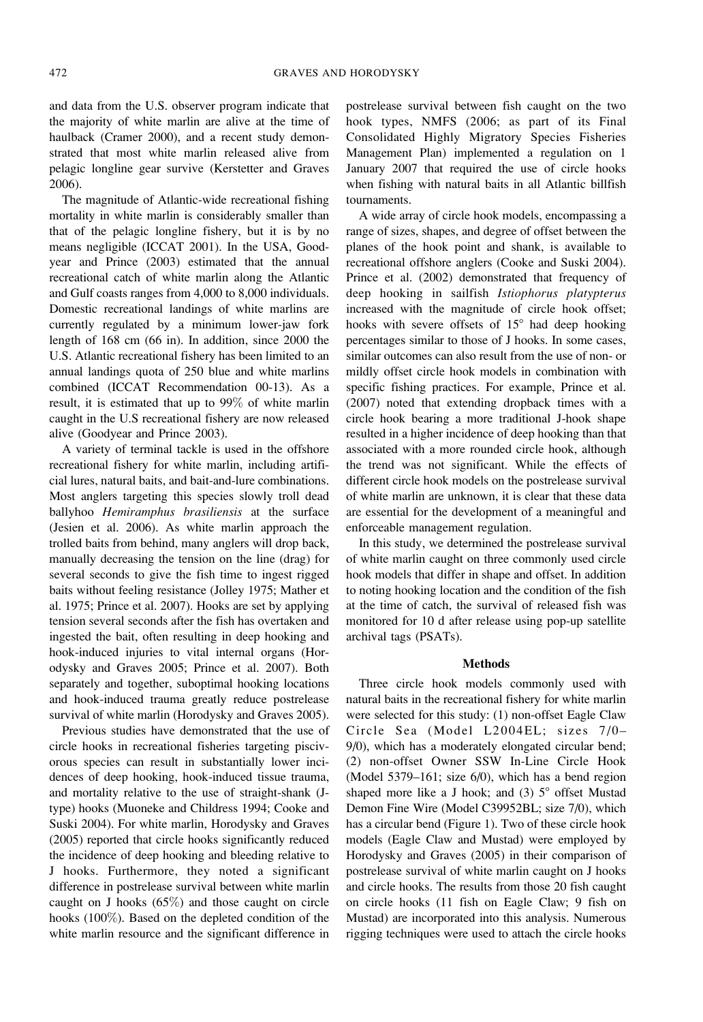and data from the U.S. observer program indicate that the majority of white marlin are alive at the time of haulback (Cramer 2000), and a recent study demonstrated that most white marlin released alive from pelagic longline gear survive (Kerstetter and Graves 2006).

The magnitude of Atlantic-wide recreational fishing mortality in white marlin is considerably smaller than that of the pelagic longline fishery, but it is by no means negligible (ICCAT 2001). In the USA, Goodyear and Prince (2003) estimated that the annual recreational catch of white marlin along the Atlantic and Gulf coasts ranges from 4,000 to 8,000 individuals. Domestic recreational landings of white marlins are currently regulated by a minimum lower-jaw fork length of 168 cm (66 in). In addition, since 2000 the U.S. Atlantic recreational fishery has been limited to an annual landings quota of 250 blue and white marlins combined (ICCAT Recommendation 00-13). As a result, it is estimated that up to 99% of white marlin caught in the U.S recreational fishery are now released alive (Goodyear and Prince 2003).

A variety of terminal tackle is used in the offshore recreational fishery for white marlin, including artificial lures, natural baits, and bait-and-lure combinations. Most anglers targeting this species slowly troll dead ballyhoo Hemiramphus brasiliensis at the surface (Jesien et al. 2006). As white marlin approach the trolled baits from behind, many anglers will drop back, manually decreasing the tension on the line (drag) for several seconds to give the fish time to ingest rigged baits without feeling resistance (Jolley 1975; Mather et al. 1975; Prince et al. 2007). Hooks are set by applying tension several seconds after the fish has overtaken and ingested the bait, often resulting in deep hooking and hook-induced injuries to vital internal organs (Horodysky and Graves 2005; Prince et al. 2007). Both separately and together, suboptimal hooking locations and hook-induced trauma greatly reduce postrelease survival of white marlin (Horodysky and Graves 2005).

Previous studies have demonstrated that the use of circle hooks in recreational fisheries targeting piscivorous species can result in substantially lower incidences of deep hooking, hook-induced tissue trauma, and mortality relative to the use of straight-shank (Jtype) hooks (Muoneke and Childress 1994; Cooke and Suski 2004). For white marlin, Horodysky and Graves (2005) reported that circle hooks significantly reduced the incidence of deep hooking and bleeding relative to J hooks. Furthermore, they noted a significant difference in postrelease survival between white marlin caught on J hooks  $(65\%)$  and those caught on circle hooks (100%). Based on the depleted condition of the white marlin resource and the significant difference in postrelease survival between fish caught on the two hook types, NMFS (2006; as part of its Final Consolidated Highly Migratory Species Fisheries Management Plan) implemented a regulation on 1 January 2007 that required the use of circle hooks when fishing with natural baits in all Atlantic billfish tournaments.

A wide array of circle hook models, encompassing a range of sizes, shapes, and degree of offset between the planes of the hook point and shank, is available to recreational offshore anglers (Cooke and Suski 2004). Prince et al. (2002) demonstrated that frequency of deep hooking in sailfish Istiophorus platypterus increased with the magnitude of circle hook offset; hooks with severe offsets of  $15^{\circ}$  had deep hooking percentages similar to those of J hooks. In some cases, similar outcomes can also result from the use of non- or mildly offset circle hook models in combination with specific fishing practices. For example, Prince et al. (2007) noted that extending dropback times with a circle hook bearing a more traditional J-hook shape resulted in a higher incidence of deep hooking than that associated with a more rounded circle hook, although the trend was not significant. While the effects of different circle hook models on the postrelease survival of white marlin are unknown, it is clear that these data are essential for the development of a meaningful and enforceable management regulation.

In this study, we determined the postrelease survival of white marlin caught on three commonly used circle hook models that differ in shape and offset. In addition to noting hooking location and the condition of the fish at the time of catch, the survival of released fish was monitored for 10 d after release using pop-up satellite archival tags (PSATs).

## **Methods**

Three circle hook models commonly used with natural baits in the recreational fishery for white marlin were selected for this study: (1) non-offset Eagle Claw Circle Sea (Model L2004EL; sizes 7/0– 9/0), which has a moderately elongated circular bend; (2) non-offset Owner SSW In-Line Circle Hook (Model 5379–161; size 6/0), which has a bend region shaped more like a J hook; and  $(3)$  5° offset Mustad Demon Fine Wire (Model C39952BL; size 7/0), which has a circular bend (Figure 1). Two of these circle hook models (Eagle Claw and Mustad) were employed by Horodysky and Graves (2005) in their comparison of postrelease survival of white marlin caught on J hooks and circle hooks. The results from those 20 fish caught on circle hooks (11 fish on Eagle Claw; 9 fish on Mustad) are incorporated into this analysis. Numerous rigging techniques were used to attach the circle hooks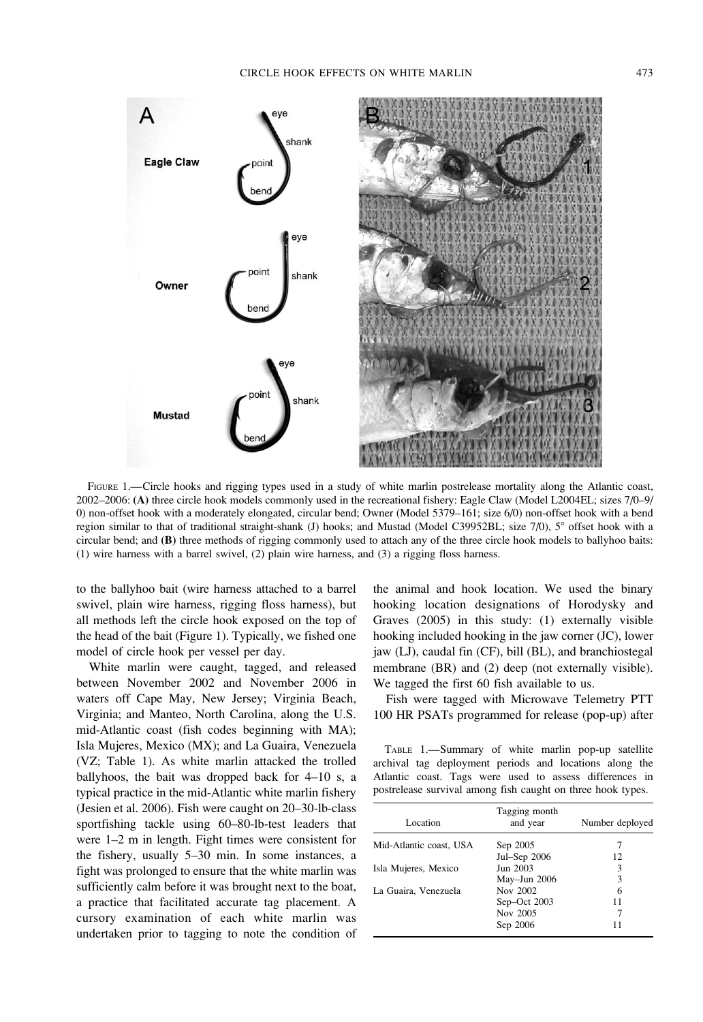

FIGURE 1.—Circle hooks and rigging types used in a study of white marlin postrelease mortality along the Atlantic coast, 2002–2006: (A) three circle hook models commonly used in the recreational fishery: Eagle Claw (Model L2004EL; sizes 7/0–9/ 0) non-offset hook with a moderately elongated, circular bend; Owner (Model 5379–161; size 6/0) non-offset hook with a bend region similar to that of traditional straight-shank (J) hooks; and Mustad (Model C39952BL; size 7/0), 5° offset hook with a circular bend; and (B) three methods of rigging commonly used to attach any of the three circle hook models to ballyhoo baits: (1) wire harness with a barrel swivel, (2) plain wire harness, and (3) a rigging floss harness.

to the ballyhoo bait (wire harness attached to a barrel swivel, plain wire harness, rigging floss harness), but all methods left the circle hook exposed on the top of the head of the bait (Figure 1). Typically, we fished one model of circle hook per vessel per day.

White marlin were caught, tagged, and released between November 2002 and November 2006 in waters off Cape May, New Jersey; Virginia Beach, Virginia; and Manteo, North Carolina, along the U.S. mid-Atlantic coast (fish codes beginning with MA); Isla Mujeres, Mexico (MX); and La Guaira, Venezuela (VZ; Table 1). As white marlin attacked the trolled ballyhoos, the bait was dropped back for 4–10 s, a typical practice in the mid-Atlantic white marlin fishery (Jesien et al. 2006). Fish were caught on 20–30-lb-class sportfishing tackle using 60–80-lb-test leaders that were 1–2 m in length. Fight times were consistent for the fishery, usually 5–30 min. In some instances, a fight was prolonged to ensure that the white marlin was sufficiently calm before it was brought next to the boat, a practice that facilitated accurate tag placement. A cursory examination of each white marlin was undertaken prior to tagging to note the condition of the animal and hook location. We used the binary hooking location designations of Horodysky and Graves (2005) in this study: (1) externally visible hooking included hooking in the jaw corner (JC), lower jaw (LJ), caudal fin (CF), bill (BL), and branchiostegal membrane (BR) and (2) deep (not externally visible). We tagged the first 60 fish available to us.

Fish were tagged with Microwave Telemetry PTT 100 HR PSATs programmed for release (pop-up) after

TABLE 1.—Summary of white marlin pop-up satellite archival tag deployment periods and locations along the Atlantic coast. Tags were used to assess differences in postrelease survival among fish caught on three hook types.

| Location                | Tagging month<br>and year | Number deployed |  |  |
|-------------------------|---------------------------|-----------------|--|--|
| Mid-Atlantic coast, USA | Sep 2005                  | 7               |  |  |
|                         | Jul-Sep 2006              | 12              |  |  |
| Isla Mujeres, Mexico    | Jun 2003                  | 3               |  |  |
|                         | May-Jun 2006              | 3               |  |  |
| La Guaira, Venezuela    | Nov 2002                  | 6               |  |  |
|                         | Sep-Oct 2003              | 11              |  |  |
|                         | Nov 2005                  | 7               |  |  |
|                         | Sep 2006                  |                 |  |  |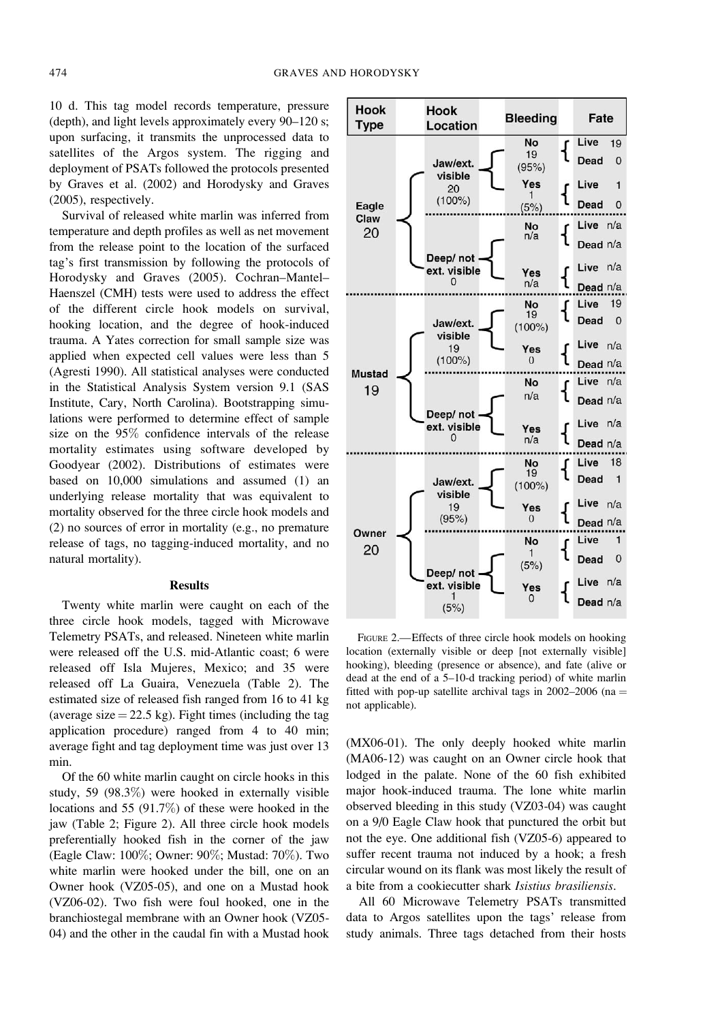10 d. This tag model records temperature, pressure (depth), and light levels approximately every 90–120 s; upon surfacing, it transmits the unprocessed data to satellites of the Argos system. The rigging and deployment of PSATs followed the protocols presented by Graves et al. (2002) and Horodysky and Graves (2005), respectively.

Survival of released white marlin was inferred from temperature and depth profiles as well as net movement from the release point to the location of the surfaced tag's first transmission by following the protocols of Horodysky and Graves (2005). Cochran–Mantel– Haenszel (CMH) tests were used to address the effect of the different circle hook models on survival, hooking location, and the degree of hook-induced trauma. A Yates correction for small sample size was applied when expected cell values were less than 5 (Agresti 1990). All statistical analyses were conducted in the Statistical Analysis System version 9.1 (SAS Institute, Cary, North Carolina). Bootstrapping simulations were performed to determine effect of sample size on the 95% confidence intervals of the release mortality estimates using software developed by Goodyear (2002). Distributions of estimates were based on 10,000 simulations and assumed (1) an underlying release mortality that was equivalent to mortality observed for the three circle hook models and (2) no sources of error in mortality (e.g., no premature release of tags, no tagging-induced mortality, and no natural mortality).

#### Results

Twenty white marlin were caught on each of the three circle hook models, tagged with Microwave Telemetry PSATs, and released. Nineteen white marlin were released off the U.S. mid-Atlantic coast; 6 were released off Isla Mujeres, Mexico; and 35 were released off La Guaira, Venezuela (Table 2). The estimated size of released fish ranged from 16 to 41 kg (average size  $= 22.5 \text{ kg}$ ). Fight times (including the tag application procedure) ranged from 4 to 40 min; average fight and tag deployment time was just over 13 min.

Of the 60 white marlin caught on circle hooks in this study, 59 (98.3%) were hooked in externally visible locations and 55 (91.7%) of these were hooked in the jaw (Table 2; Figure 2). All three circle hook models preferentially hooked fish in the corner of the jaw (Eagle Claw: 100%; Owner: 90%; Mustad: 70%). Two white marlin were hooked under the bill, one on an Owner hook (VZ05-05), and one on a Mustad hook (VZ06-02). Two fish were foul hooked, one in the branchiostegal membrane with an Owner hook (VZ05- 04) and the other in the caudal fin with a Mustad hook



FIGURE 2.—Effects of three circle hook models on hooking location (externally visible or deep [not externally visible] hooking), bleeding (presence or absence), and fate (alive or dead at the end of a 5–10-d tracking period) of white marlin fitted with pop-up satellite archival tags in  $2002-2006$  (na  $=$ not applicable).

(MX06-01). The only deeply hooked white marlin (MA06-12) was caught on an Owner circle hook that lodged in the palate. None of the 60 fish exhibited major hook-induced trauma. The lone white marlin observed bleeding in this study (VZ03-04) was caught on a 9/0 Eagle Claw hook that punctured the orbit but not the eye. One additional fish (VZ05-6) appeared to suffer recent trauma not induced by a hook; a fresh circular wound on its flank was most likely the result of a bite from a cookiecutter shark Isistius brasiliensis.

All 60 Microwave Telemetry PSATs transmitted data to Argos satellites upon the tags' release from study animals. Three tags detached from their hosts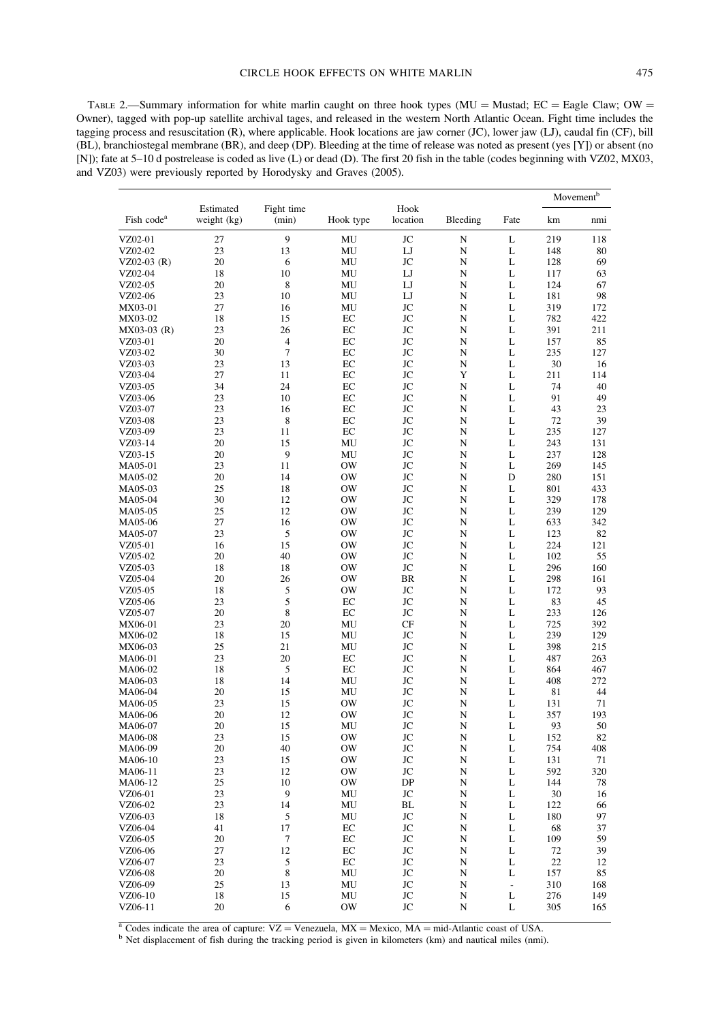TABLE 2.—Summary information for white marlin caught on three hook types (MU = Mustad; EC = Eagle Claw; OW = Owner), tagged with pop-up satellite archival tages, and released in the western North Atlantic Ocean. Fight time includes the tagging process and resuscitation (R), where applicable. Hook locations are jaw corner (JC), lower jaw (LJ), caudal fin (CF), bill (BL), branchiostegal membrane (BR), and deep (DP). Bleeding at the time of release was noted as present (yes [Y]) or absent (no [N]); fate at 5–10 d postrelease is coded as live (L) or dead (D). The first 20 fish in the table (codes beginning with VZ02, MX03, and VZ03) were previously reported by Horodysky and Graves (2005).

| Fish code <sup>a</sup> |                          |                     |           |                  |          |                          | Movement <sup>b</sup> |     |
|------------------------|--------------------------|---------------------|-----------|------------------|----------|--------------------------|-----------------------|-----|
|                        | Estimated<br>weight (kg) | Fight time<br>(min) | Hook type | Hook<br>location | Bleeding | Fate                     | km                    | nmi |
| VZ02-01                | 27                       | 9                   | MU        | JC               | N        | L                        | 219                   | 118 |
| VZ02-02                | 23                       | 13                  | MU        | LJ               | N        | L                        | 148                   | 80  |
| $VZ02-03$ (R)          | 20                       | 6                   | МU        | JC               | N        | L                        | 128                   | 69  |
| VZ02-04                | 18                       | 10                  | МU        | LJ               | N        | L                        | 117                   | 63  |
| VZ02-05                | 20                       | 8                   | MU        | LJ               | N        | L                        | 124                   | 67  |
| VZ02-06                | 23                       | 10                  | MU        | LJ               | N        | L                        | 181                   | 98  |
| MX03-01                | 27                       | 16                  | МU        | JC               | N        | L                        | 319                   | 172 |
| MX03-02                | 18                       | 15                  | EC        | JC               | N        | L                        | 782                   | 422 |
| $MX03-03$ (R)          | 23                       | 26                  | EC        | JC               | N        | L                        | 391                   | 211 |
| VZ03-01                | 20                       | $\overline{4}$      | EC        | JC               | N        | L                        | 157                   | 85  |
| VZ03-02                | 30                       | $\tau$              | EC        | JC               | N        | L                        | 235                   | 127 |
| VZ03-03                | 23                       | 13                  | EC        | JC               | N        | L                        | 30                    | 16  |
| VZ03-04                | 27                       | 11                  | EC        | JC               | Y        | L                        | 211                   | 114 |
| VZ03-05                | 34                       | 24                  | EC        | JC               | N        | L                        | 74                    | 40  |
| VZ03-06                | 23                       | 10                  | EC        | JC               | N        | L                        | 91                    | 49  |
| VZ03-07                | 23                       | 16                  | EC        | JC               | N        | L                        | 43                    | 23  |
| VZ03-08                | 23                       | 8                   | EC        | JC               | N        | L                        | 72                    | 39  |
| VZ03-09                | 23                       | 11                  | EC        | JC               | N        | L                        | 235                   | 127 |
| VZ03-14                | 20                       | 15                  | МU        | JС               | N        | L                        | 243                   | 131 |
| VZ03-15                | 20                       | 9                   | МU        | JC               | N        | L                        | 237                   | 128 |
| MA05-01                | 23                       | 11                  | OW        | JC               | N        | L                        | 269                   | 145 |
| MA05-02                | 20                       | 14                  | OW        | JC               | N        | D                        | 280                   | 151 |
| MA05-03                | 25                       | 18                  | OW        | JC               | N        | L                        | 801                   | 433 |
| MA05-04                | 30                       | 12                  | OW        | JC               | N        | L                        | 329                   | 178 |
| MA05-05                | 25                       | 12                  | OW        | JC               | N        | L                        | 239                   | 129 |
| MA05-06                | 27                       | 16                  | OW        | JC               | N        | L                        | 633                   | 342 |
| MA05-07                | 23                       | 5                   | OW        | JC               | N        | L                        | 123                   | 82  |
| VZ05-01                | 16                       | 15                  | OW        | JC               | N        | L                        | 224                   | 121 |
| VZ05-02                | 20                       | 40                  | OW        | JC               | N        | L                        | 102                   | 55  |
| VZ05-03                | 18                       | 18                  | OW        | JC               | N        | L                        | 296                   | 160 |
| VZ05-04                | 20                       | 26                  | OW        | <b>BR</b>        | N        | L                        | 298                   | 161 |
| VZ05-05                | 18                       | 5                   | OW        | JC               | N        | L                        | 172                   | 93  |
| VZ05-06                | 23                       | 5                   | EC        | JC               | N        | L                        | 83                    | 45  |
| VZ05-07                | 20                       | 8                   | EC        | JC               | N        | L                        | 233                   | 126 |
| MX06-01                | 23                       | 20                  | MU        | CF               | N        | L                        | 725                   | 392 |
| MX06-02                | 18                       | 15                  | МU        | JС               | N        | L                        | 239                   | 129 |
| MX06-03                | 25                       | 21                  | МU        | JC               | N        | L                        | 398                   | 215 |
| MA06-01                | 23                       | 20                  | EC        | JC               | N        | L                        | 487                   | 263 |
| MA06-02                | 18                       | 5                   | EC        | JC               | N        | L                        | 864                   | 467 |
| MA06-03                | 18                       | 14                  | MU        | JC               | N        | L                        | 408                   | 272 |
| MA06-04                | 20                       | 15                  | MU        | JC               | N        | L                        | 81                    | 44  |
| MA06-05                | 23                       | 15                  | OW        | JC               | N        | L                        | 131                   | 71  |
| MA06-06                | 20                       | 12                  | OW        | JC               | N        | L                        | 357                   | 193 |
| MA06-07                | 20                       | 15                  | MU        | JC               | N        | L                        | 93                    | 50  |
| MA06-08                | 23                       | 15                  | OW        | JC               | N        | L                        | 152                   | 82  |
| MA06-09                | 20                       | 40                  | OW        | JC               | N        | L                        | 754                   | 408 |
| MA06-10                | 23                       | 15                  | OW        | JC               | N        | L                        | 131                   | 71  |
| MA06-11                | 23                       | 12                  | OW        | JC               | N        | L                        | 592                   | 320 |
| MA06-12                | 25                       | 10                  | OW        | DP               | N        | L                        | 144                   | 78  |
| VZ06-01                | 23                       | 9                   | MU        | JC               | N        | L                        | 30                    | 16  |
| VZ06-02                | 23                       | 14                  | MU        | <b>BL</b>        | N        | L                        | 122                   | 66  |
| VZ06-03                | 18                       | 5                   | MU        | JC               | N        | L                        | 180                   | 97  |
| VZ06-04                | 41                       | 17                  | EC        | JC               | N        | L                        | 68                    | 37  |
| VZ06-05                | 20                       | $\tau$              | EC        | JC               | N        | L                        | 109                   | 59  |
| VZ06-06                | 27                       | 12                  | EC        | JC               | N        | L                        | 72                    | 39  |
| VZ06-07                | 23                       | 5                   | EC        | JC               | N        | L                        | 22                    | 12  |
| VZ06-08                | 20                       | 8                   | MU        | JC               | N        | L                        | 157                   | 85  |
| VZ06-09                | 25                       | 13                  | МU        | JC               | N        | $\overline{\phantom{a}}$ | 310                   | 168 |
| VZ06-10                | 18                       | 15                  | MU        | JC               | N        | L                        | 276                   | 149 |
| VZ06-11                | 20                       | 6                   | OW        | JC               | N        | L                        | 305                   | 165 |

<sup>a</sup> Codes indicate the area of capture: VZ = Venezuela, MX = Mexico, MA = mid-Atlantic coast of USA. <sup>b</sup> Net displacement of fish during the tracking period is given in kilometers (km) and nautical miles (nmi).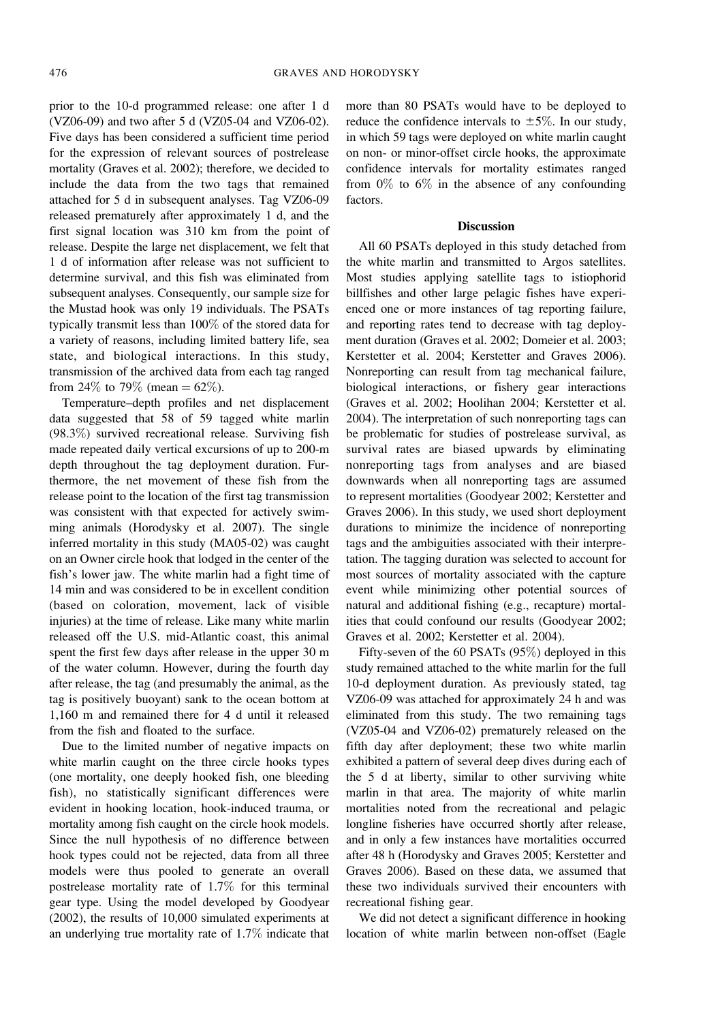prior to the 10-d programmed release: one after 1 d (VZ06-09) and two after 5 d (VZ05-04 and VZ06-02). Five days has been considered a sufficient time period for the expression of relevant sources of postrelease mortality (Graves et al. 2002); therefore, we decided to include the data from the two tags that remained attached for 5 d in subsequent analyses. Tag VZ06-09 released prematurely after approximately 1 d, and the first signal location was 310 km from the point of release. Despite the large net displacement, we felt that 1 d of information after release was not sufficient to determine survival, and this fish was eliminated from subsequent analyses. Consequently, our sample size for the Mustad hook was only 19 individuals. The PSATs typically transmit less than 100% of the stored data for a variety of reasons, including limited battery life, sea state, and biological interactions. In this study, transmission of the archived data from each tag ranged from 24\% to 79\% (mean =  $62\%$ ).

Temperature–depth profiles and net displacement data suggested that 58 of 59 tagged white marlin (98.3%) survived recreational release. Surviving fish made repeated daily vertical excursions of up to 200-m depth throughout the tag deployment duration. Furthermore, the net movement of these fish from the release point to the location of the first tag transmission was consistent with that expected for actively swimming animals (Horodysky et al. 2007). The single inferred mortality in this study (MA05-02) was caught on an Owner circle hook that lodged in the center of the fish's lower jaw. The white marlin had a fight time of 14 min and was considered to be in excellent condition (based on coloration, movement, lack of visible injuries) at the time of release. Like many white marlin released off the U.S. mid-Atlantic coast, this animal spent the first few days after release in the upper 30 m of the water column. However, during the fourth day after release, the tag (and presumably the animal, as the tag is positively buoyant) sank to the ocean bottom at 1,160 m and remained there for 4 d until it released from the fish and floated to the surface.

Due to the limited number of negative impacts on white marlin caught on the three circle hooks types (one mortality, one deeply hooked fish, one bleeding fish), no statistically significant differences were evident in hooking location, hook-induced trauma, or mortality among fish caught on the circle hook models. Since the null hypothesis of no difference between hook types could not be rejected, data from all three models were thus pooled to generate an overall postrelease mortality rate of 1.7% for this terminal gear type. Using the model developed by Goodyear (2002), the results of 10,000 simulated experiments at an underlying true mortality rate of 1.7% indicate that more than 80 PSATs would have to be deployed to reduce the confidence intervals to  $\pm 5\%$ . In our study, in which 59 tags were deployed on white marlin caught on non- or minor-offset circle hooks, the approximate confidence intervals for mortality estimates ranged from  $0\%$  to  $6\%$  in the absence of any confounding factors.

#### **Discussion**

All 60 PSATs deployed in this study detached from the white marlin and transmitted to Argos satellites. Most studies applying satellite tags to istiophorid billfishes and other large pelagic fishes have experienced one or more instances of tag reporting failure, and reporting rates tend to decrease with tag deployment duration (Graves et al. 2002; Domeier et al. 2003; Kerstetter et al. 2004; Kerstetter and Graves 2006). Nonreporting can result from tag mechanical failure, biological interactions, or fishery gear interactions (Graves et al. 2002; Hoolihan 2004; Kerstetter et al. 2004). The interpretation of such nonreporting tags can be problematic for studies of postrelease survival, as survival rates are biased upwards by eliminating nonreporting tags from analyses and are biased downwards when all nonreporting tags are assumed to represent mortalities (Goodyear 2002; Kerstetter and Graves 2006). In this study, we used short deployment durations to minimize the incidence of nonreporting tags and the ambiguities associated with their interpretation. The tagging duration was selected to account for most sources of mortality associated with the capture event while minimizing other potential sources of natural and additional fishing (e.g., recapture) mortalities that could confound our results (Goodyear 2002; Graves et al. 2002; Kerstetter et al. 2004).

Fifty-seven of the 60 PSATs (95%) deployed in this study remained attached to the white marlin for the full 10-d deployment duration. As previously stated, tag VZ06-09 was attached for approximately 24 h and was eliminated from this study. The two remaining tags (VZ05-04 and VZ06-02) prematurely released on the fifth day after deployment; these two white marlin exhibited a pattern of several deep dives during each of the 5 d at liberty, similar to other surviving white marlin in that area. The majority of white marlin mortalities noted from the recreational and pelagic longline fisheries have occurred shortly after release, and in only a few instances have mortalities occurred after 48 h (Horodysky and Graves 2005; Kerstetter and Graves 2006). Based on these data, we assumed that these two individuals survived their encounters with recreational fishing gear.

We did not detect a significant difference in hooking location of white marlin between non-offset (Eagle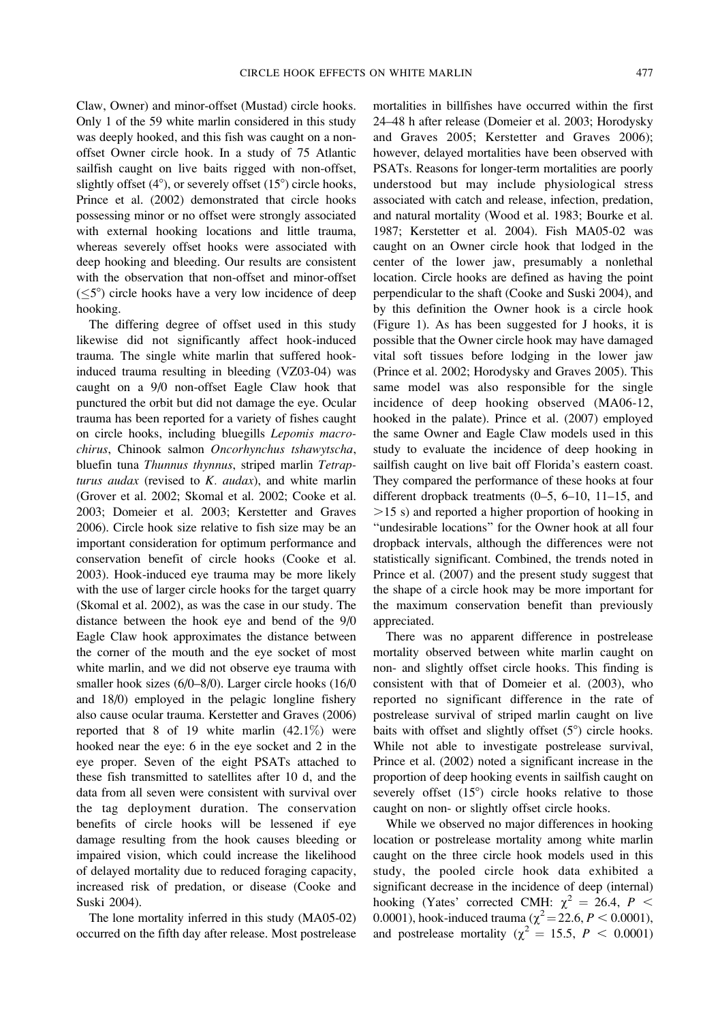Claw, Owner) and minor-offset (Mustad) circle hooks. Only 1 of the 59 white marlin considered in this study was deeply hooked, and this fish was caught on a nonoffset Owner circle hook. In a study of 75 Atlantic sailfish caught on live baits rigged with non-offset, slightly offset  $(4^{\circ})$ , or severely offset  $(15^{\circ})$  circle hooks, Prince et al. (2002) demonstrated that circle hooks possessing minor or no offset were strongly associated with external hooking locations and little trauma, whereas severely offset hooks were associated with deep hooking and bleeding. Our results are consistent with the observation that non-offset and minor-offset  $(\leq 5^{\circ})$  circle hooks have a very low incidence of deep hooking.

The differing degree of offset used in this study likewise did not significantly affect hook-induced trauma. The single white marlin that suffered hookinduced trauma resulting in bleeding (VZ03-04) was caught on a 9/0 non-offset Eagle Claw hook that punctured the orbit but did not damage the eye. Ocular trauma has been reported for a variety of fishes caught on circle hooks, including bluegills Lepomis macrochirus, Chinook salmon Oncorhynchus tshawytscha, bluefin tuna Thunnus thynnus, striped marlin Tetrapturus audax (revised to  $K$ . audax), and white marlin (Grover et al. 2002; Skomal et al. 2002; Cooke et al. 2003; Domeier et al. 2003; Kerstetter and Graves 2006). Circle hook size relative to fish size may be an important consideration for optimum performance and conservation benefit of circle hooks (Cooke et al. 2003). Hook-induced eye trauma may be more likely with the use of larger circle hooks for the target quarry (Skomal et al. 2002), as was the case in our study. The distance between the hook eye and bend of the 9/0 Eagle Claw hook approximates the distance between the corner of the mouth and the eye socket of most white marlin, and we did not observe eye trauma with smaller hook sizes (6/0–8/0). Larger circle hooks (16/0 and 18/0) employed in the pelagic longline fishery also cause ocular trauma. Kerstetter and Graves (2006) reported that 8 of 19 white marlin (42.1%) were hooked near the eye: 6 in the eye socket and 2 in the eye proper. Seven of the eight PSATs attached to these fish transmitted to satellites after 10 d, and the data from all seven were consistent with survival over the tag deployment duration. The conservation benefits of circle hooks will be lessened if eye damage resulting from the hook causes bleeding or impaired vision, which could increase the likelihood of delayed mortality due to reduced foraging capacity, increased risk of predation, or disease (Cooke and Suski 2004).

The lone mortality inferred in this study (MA05-02) occurred on the fifth day after release. Most postrelease mortalities in billfishes have occurred within the first 24–48 h after release (Domeier et al. 2003; Horodysky and Graves 2005; Kerstetter and Graves 2006); however, delayed mortalities have been observed with PSATs. Reasons for longer-term mortalities are poorly understood but may include physiological stress associated with catch and release, infection, predation, and natural mortality (Wood et al. 1983; Bourke et al. 1987; Kerstetter et al. 2004). Fish MA05-02 was caught on an Owner circle hook that lodged in the center of the lower jaw, presumably a nonlethal location. Circle hooks are defined as having the point perpendicular to the shaft (Cooke and Suski 2004), and by this definition the Owner hook is a circle hook (Figure 1). As has been suggested for J hooks, it is possible that the Owner circle hook may have damaged vital soft tissues before lodging in the lower jaw (Prince et al. 2002; Horodysky and Graves 2005). This same model was also responsible for the single incidence of deep hooking observed (MA06-12, hooked in the palate). Prince et al. (2007) employed the same Owner and Eagle Claw models used in this study to evaluate the incidence of deep hooking in sailfish caught on live bait off Florida's eastern coast. They compared the performance of these hooks at four different dropback treatments (0–5, 6–10, 11–15, and .15 s) and reported a higher proportion of hooking in ''undesirable locations'' for the Owner hook at all four dropback intervals, although the differences were not statistically significant. Combined, the trends noted in Prince et al. (2007) and the present study suggest that the shape of a circle hook may be more important for the maximum conservation benefit than previously appreciated.

There was no apparent difference in postrelease mortality observed between white marlin caught on non- and slightly offset circle hooks. This finding is consistent with that of Domeier et al. (2003), who reported no significant difference in the rate of postrelease survival of striped marlin caught on live baits with offset and slightly offset  $(5^\circ)$  circle hooks. While not able to investigate postrelease survival, Prince et al. (2002) noted a significant increase in the proportion of deep hooking events in sailfish caught on severely offset  $(15^{\circ})$  circle hooks relative to those caught on non- or slightly offset circle hooks.

While we observed no major differences in hooking location or postrelease mortality among white marlin caught on the three circle hook models used in this study, the pooled circle hook data exhibited a significant decrease in the incidence of deep (internal) hooking (Yates' corrected CMH:  $\chi^2 = 26.4$ ,  $P <$ 0.0001), hook-induced trauma ( $\chi^2$  = 22.6, *P* < 0.0001), and postrelease mortality ( $\chi^2 = 15.5$ ,  $P < 0.0001$ )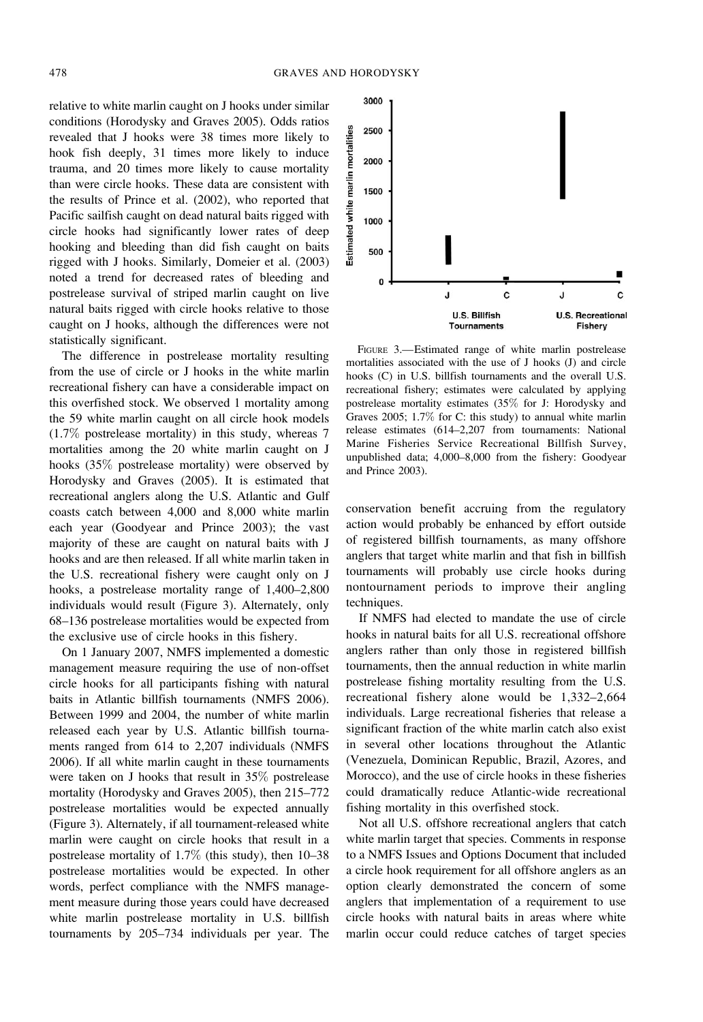relative to white marlin caught on J hooks under similar conditions (Horodysky and Graves 2005). Odds ratios revealed that J hooks were 38 times more likely to hook fish deeply, 31 times more likely to induce trauma, and 20 times more likely to cause mortality than were circle hooks. These data are consistent with the results of Prince et al. (2002), who reported that Pacific sailfish caught on dead natural baits rigged with circle hooks had significantly lower rates of deep hooking and bleeding than did fish caught on baits rigged with J hooks. Similarly, Domeier et al. (2003) noted a trend for decreased rates of bleeding and postrelease survival of striped marlin caught on live natural baits rigged with circle hooks relative to those caught on J hooks, although the differences were not statistically significant.

The difference in postrelease mortality resulting from the use of circle or J hooks in the white marlin recreational fishery can have a considerable impact on this overfished stock. We observed 1 mortality among the 59 white marlin caught on all circle hook models (1.7% postrelease mortality) in this study, whereas 7 mortalities among the 20 white marlin caught on J hooks (35% postrelease mortality) were observed by Horodysky and Graves (2005). It is estimated that recreational anglers along the U.S. Atlantic and Gulf coasts catch between 4,000 and 8,000 white marlin each year (Goodyear and Prince 2003); the vast majority of these are caught on natural baits with J hooks and are then released. If all white marlin taken in the U.S. recreational fishery were caught only on J hooks, a postrelease mortality range of 1,400–2,800 individuals would result (Figure 3). Alternately, only 68–136 postrelease mortalities would be expected from the exclusive use of circle hooks in this fishery.

On 1 January 2007, NMFS implemented a domestic management measure requiring the use of non-offset circle hooks for all participants fishing with natural baits in Atlantic billfish tournaments (NMFS 2006). Between 1999 and 2004, the number of white marlin released each year by U.S. Atlantic billfish tournaments ranged from 614 to 2,207 individuals (NMFS 2006). If all white marlin caught in these tournaments were taken on J hooks that result in 35% postrelease mortality (Horodysky and Graves 2005), then 215–772 postrelease mortalities would be expected annually (Figure 3). Alternately, if all tournament-released white marlin were caught on circle hooks that result in a postrelease mortality of 1.7% (this study), then 10–38 postrelease mortalities would be expected. In other words, perfect compliance with the NMFS management measure during those years could have decreased white marlin postrelease mortality in U.S. billfish tournaments by 205–734 individuals per year. The



FIGURE 3.—Estimated range of white marlin postrelease mortalities associated with the use of J hooks (J) and circle hooks (C) in U.S. billfish tournaments and the overall U.S. recreational fishery; estimates were calculated by applying postrelease mortality estimates (35% for J: Horodysky and Graves 2005; 1.7% for C: this study) to annual white marlin release estimates (614–2,207 from tournaments: National Marine Fisheries Service Recreational Billfish Survey, unpublished data; 4,000–8,000 from the fishery: Goodyear and Prince 2003).

conservation benefit accruing from the regulatory action would probably be enhanced by effort outside of registered billfish tournaments, as many offshore anglers that target white marlin and that fish in billfish tournaments will probably use circle hooks during nontournament periods to improve their angling techniques.

If NMFS had elected to mandate the use of circle hooks in natural baits for all U.S. recreational offshore anglers rather than only those in registered billfish tournaments, then the annual reduction in white marlin postrelease fishing mortality resulting from the U.S. recreational fishery alone would be 1,332–2,664 individuals. Large recreational fisheries that release a significant fraction of the white marlin catch also exist in several other locations throughout the Atlantic (Venezuela, Dominican Republic, Brazil, Azores, and Morocco), and the use of circle hooks in these fisheries could dramatically reduce Atlantic-wide recreational fishing mortality in this overfished stock.

Not all U.S. offshore recreational anglers that catch white marlin target that species. Comments in response to a NMFS Issues and Options Document that included a circle hook requirement for all offshore anglers as an option clearly demonstrated the concern of some anglers that implementation of a requirement to use circle hooks with natural baits in areas where white marlin occur could reduce catches of target species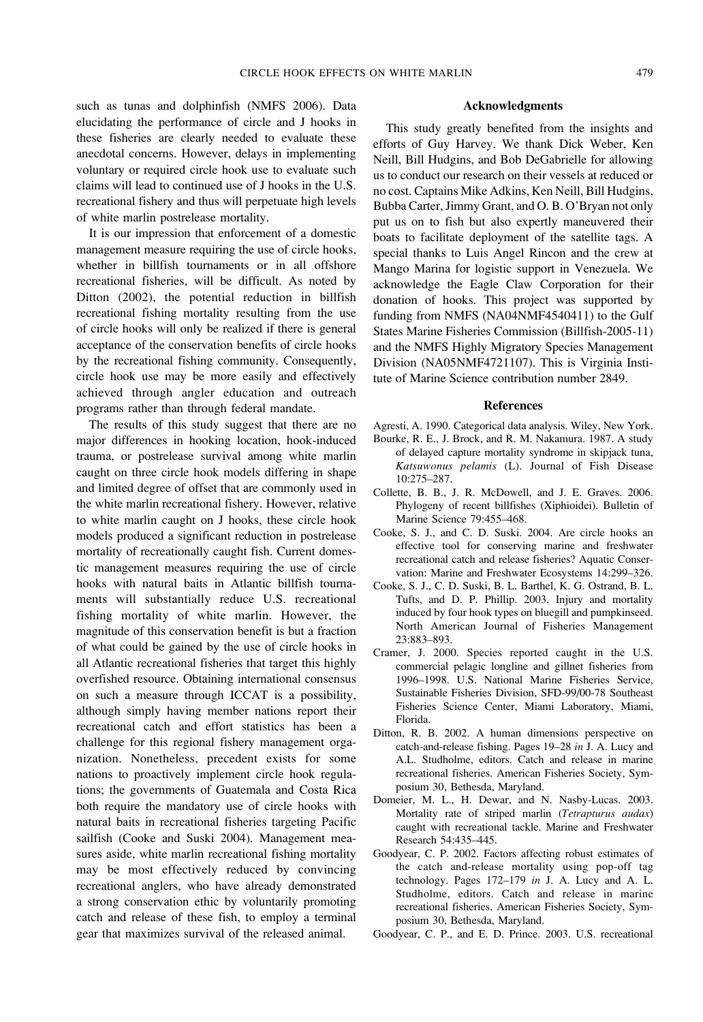such as tunas and dolphinfish (NMFS 2006). Data elucidating the performance of circle and J hooks in these fisheries are clearly needed to evaluate these anecdotal concerns. However, delays in implementing voluntary or required circle hook use to evaluate such claims will lead to continued use of J hooks in the U.S. recreational fishery and thus will perpetuate high levels of white marlin postrelease mortality.

It is our impression that enforcement of a domestic management measure requiring the use of circle hooks, whether in billfish tournaments or in all offshore recreational fisheries, will be difficult. As noted by Ditton (2002), the potential reduction in billfish recreational fishing mortality resulting from the use of circle hooks will only be realized if there is general acceptance of the conservation benefits of circle hooks by the recreational fishing community. Consequently, circle hook use may be more easily and effectively achieved through angler education and outreach programs rather than through federal mandate.

The results of this study suggest that there are no major differences in hooking location, hook-induced trauma, or postrelease survival among white marlin caught on three circle hook models differing in shape and limited degree of offset that are commonly used in the white marlin recreational fishery. However, relative to white marlin caught on J hooks, these circle hook models produced a significant reduction in postrelease mortality of recreationally caught fish. Current domestic management measures requiring the use of circle hooks with natural baits in Atlantic billfish tournaments will substantially reduce U.S. recreational fishing mortality of white marlin. However, the magnitude of this conservation benefit is but a fraction of what could be gained by the use of circle hooks in all Atlantic recreational fisheries that target this highly overfished resource. Obtaining international consensus on such a measure through ICCAT is a possibility, although simply having member nations report their recreational catch and effort statistics has been a challenge for this regional fishery management organization. Nonetheless, precedent exists for some nations to proactively implement circle hook regulations; the governments of Guatemala and Costa Rica both require the mandatory use of circle hooks with natural baits in recreational fisheries targeting Pacific sailfish (Cooke and Suski 2004). Management measures aside, white marlin recreational fishing mortality may be most effectively reduced by convincing recreational anglers, who have already demonstrated a strong conservation ethic by voluntarily promoting catch and release of these fish, to employ a terminal gear that maximizes survival of the released animal.

## Acknowledgments

This study greatly benefited from the insights and efforts of Guy Harvey. We thank Dick Weber, Ken Neill, Bill Hudgins, and Bob DeGabrielle for allowing us to conduct our research on their vessels at reduced or no cost. Captains Mike Adkins, Ken Neill, Bill Hudgins, Bubba Carter, Jimmy Grant, and O. B. O'Bryan not only put us on to fish but also expertly maneuvered their boats to facilitate deployment of the satellite tags. A special thanks to Luis Angel Rincon and the crew at Mango Marina for logistic support in Venezuela. We acknowledge the Eagle Claw Corporation for their donation of hooks. This project was supported by funding from NMFS (NA04NMF4540411) to the Gulf States Marine Fisheries Commission (Billfish-2005-11) and the NMFS Highly Migratory Species Management Division (NA05NMF4721107). This is Virginia Institute of Marine Science contribution number 2849.

## References

- Agresti, A. 1990. Categorical data analysis. Wiley, New York.
- Bourke, R. E., J. Brock, and R. M. Nakamura. 1987. A study of delayed capture mortality syndrome in skipjack tuna, Katsuwonus pelamis (L). Journal of Fish Disease 10:275–287.
- Collette, B. B., J. R. McDowell, and J. E. Graves. 2006. Phylogeny of recent billfishes (Xiphioidei). Bulletin of Marine Science 79:455–468.
- Cooke, S. J., and C. D. Suski. 2004. Are circle hooks an effective tool for conserving marine and freshwater recreational catch and release fisheries? Aquatic Conservation: Marine and Freshwater Ecosystems 14:299–326.
- Cooke, S. J., C. D. Suski, B. L. Barthel, K. G. Ostrand, B. L. Tufts, and D. P. Phillip. 2003. Injury and mortality induced by four hook types on bluegill and pumpkinseed. North American Journal of Fisheries Management 23:883–893.
- Cramer, J. 2000. Species reported caught in the U.S. commercial pelagic longline and gillnet fisheries from 1996–1998. U.S. National Marine Fisheries Service, Sustainable Fisheries Division, SFD-99/00-78 Southeast Fisheries Science Center, Miami Laboratory, Miami, Florida.
- Ditton, R. B. 2002. A human dimensions perspective on catch-and-release fishing. Pages 19–28 in J. A. Lucy and A.L. Studholme, editors. Catch and release in marine recreational fisheries. American Fisheries Society, Symposium 30, Bethesda, Maryland.
- Domeier, M. L., H. Dewar, and N. Nasby-Lucas. 2003. Mortality rate of striped marlin (Tetrapturus audax) caught with recreational tackle. Marine and Freshwater Research 54:435–445.
- Goodyear, C. P. 2002. Factors affecting robust estimates of the catch and-release mortality using pop-off tag technology. Pages 172–179 in J. A. Lucy and A. L. Studholme, editors. Catch and release in marine recreational fisheries. American Fisheries Society, Symposium 30, Bethesda, Maryland.
- Goodyear, C. P., and E. D. Prince. 2003. U.S. recreational